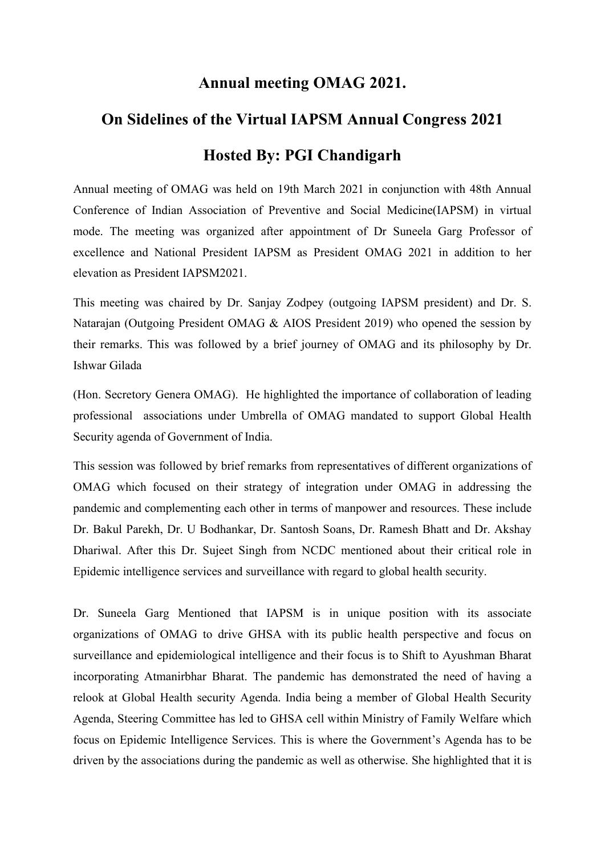## **Annual meeting OMAG 2021.**

## **On Sidelines of the Virtual IAPSM Annual Congress 2021**

## **Hosted By: PGI Chandigarh**

Annual meeting of OMAG was held on 19th March 2021 in conjunction with 48th Annual Conference of Indian Association of Preventive and Social Medicine(IAPSM) in virtual mode. The meeting was organized after appointment of Dr Suneela Garg Professor of excellence and National President IAPSM as President OMAG 2021 in addition to her elevation as President IAPSM2021.

This meeting was chaired by Dr. Sanjay Zodpey (outgoing IAPSM president) and Dr. S. Natarajan (Outgoing President OMAG & AIOS President 2019) who opened the session by their remarks. This was followed by a brief journey of OMAG and its philosophy by Dr. Ishwar Gilada

(Hon. Secretory Genera OMAG). He highlighted the importance of collaboration of leading professional associations under Umbrella of OMAG mandated to support Global Health Security agenda of Government of India.

This session was followed by brief remarks from representatives of different organizations of OMAG which focused on their strategy of integration under OMAG in addressing the pandemic and complementing each other in terms of manpower and resources. These include Dr. Bakul Parekh, Dr. U Bodhankar, Dr. Santosh Soans, Dr. Ramesh Bhatt and Dr. Akshay Dhariwal. After this Dr. Sujeet Singh from NCDC mentioned about their critical role in Epidemic intelligence services and surveillance with regard to global health security.

Dr. Suneela Garg Mentioned that IAPSM is in unique position with its associate organizations of OMAG to drive GHSA with its public health perspective and focus on surveillance and epidemiological intelligence and their focus is to Shift to Ayushman Bharat incorporating Atmanirbhar Bharat. The pandemic has demonstrated the need of having a relook at Global Health security Agenda. India being a member of Global Health Security Agenda, Steering Committee has led to GHSA cell within Ministry of Family Welfare which focus on Epidemic Intelligence Services. This is where the Government's Agenda has to be driven by the associations during the pandemic as well as otherwise. She highlighted that it is